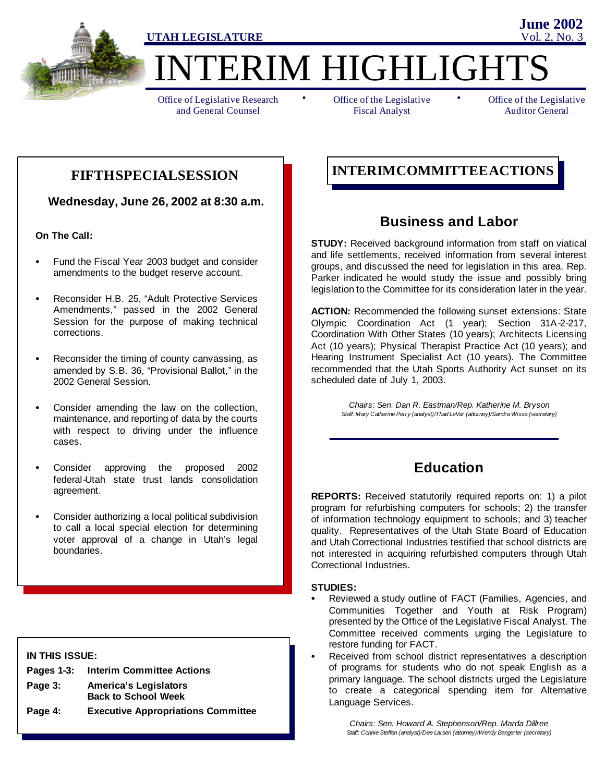

ERIM HIGHLIGHTS

Office of Legislative Research and General Counsel

• Office of the Legislative • Fiscal Analyst

Office of the Legislative Auditor General

**June 2002**

**Wednesday, June 26, 2002 at 8:30 a.m.**

**On The Call:**

- Fund the Fiscal Year 2003 budget and consider amendments to the budget reserve account.
- Reconsider H.B. 25, "Adult Protective Services Amendments," passed in the 2002 General Session for the purpose of making technical corrections.
- Reconsider the timing of county canvassing, as amended by S.B. 36, "Provisional Ballot," in the 2002 General Session.
- Consider amending the law on the collection, maintenance, and reporting of data by the courts with respect to driving under the influence cases.
- Consider approving the proposed 2002 federal-Utah state trust lands consolidation agreement.
- Consider authorizing a local political subdivision to call a local special election for determining voter approval of a change in Utah's legal boundaries.

#### **IN THIS ISSUE:**

|         | Pages 1-3: Interim Committee Actions      |
|---------|-------------------------------------------|
| Page 3: | <b>America's Legislators</b>              |
|         | <b>Back to School Week</b>                |
| Page 4: | <b>Executive Appropriations Committee</b> |

## **INTERIMCOMMITTEEACTIONS FIFTHSPECIALSESSION**

## **Business and Labor**

**STUDY:** Received background information from staff on viatical and life settlements, received information from several interest groups, and discussed the need for legislation in this area. Rep. Parker indicated he would study the issue and possibly bring legislation to the Committee for its consideration later in the year.

**ACTION:** Recommended the following sunset extensions: State Olympic Coordination Act (1 year); Section 31A-2-217, Coordination With Other States (10 years); Architects Licensing Act (10 years); Physical Therapist Practice Act (10 years); and Hearing Instrument Specialist Act (10 years). The Committee recommended that the Utah Sports Authority Act sunset on its scheduled date of July 1, 2003.

> *Chairs: Sen. Dan R. Eastman/Rep. Katherine M. Bryson Staff: Mary Catherine Perry (analyst)/Thad LeVar (attorney)/Sandra Wissa (secretary)*

## **Education**

**REPORTS:** Received statutorily required reports on: 1) a pilot program for refurbishing computers for schools; 2) the transfer of information technology equipment to schools; and 3) teacher quality. Representatives of the Utah State Board of Education and Utah Correctional Industries testified that school districts are not interested in acquiring refurbished computers through Utah Correctional Industries.

#### **STUDIES:**

- Reviewed a study outline of FACT (Families, Agencies, and Communities Together and Youth at Risk Program) presented by the Office of the Legislative Fiscal Analyst. The Committee received comments urging the Legislature to restore funding for FACT.
- Received from school district representatives a description of programs for students who do not speak English as a primary language. The school districts urged the Legislature to create a categorical spending item for Alternative Language Services.

*Chairs: Sen. Howard A. Stephenson/Rep. Marda Dillree Staff: Connie Steffen (analyst)/Dee Larsen (attorney)/Wendy Bangerter (secretary)*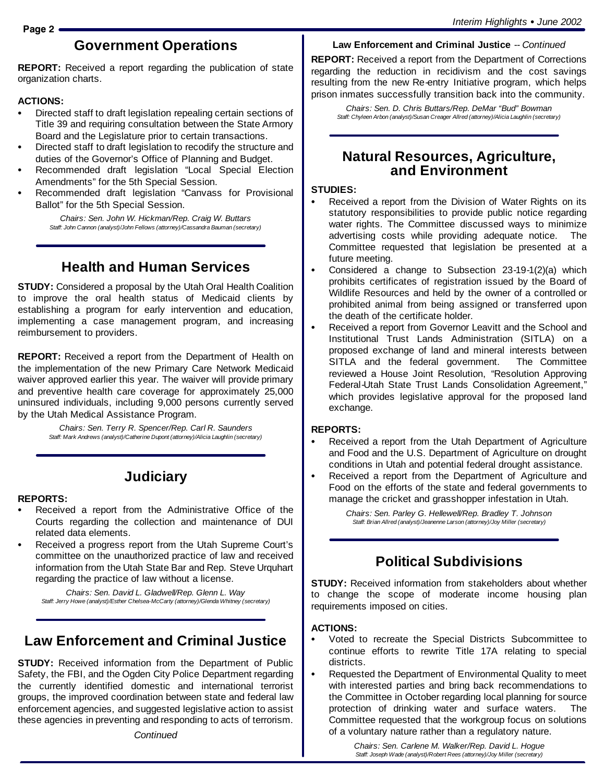## **Government Operations**

**REPORT:** Received a report regarding the publication of state organization charts.

### **ACTIONS:**

- Directed staff to draft legislation repealing certain sections of Title 39 and requiring consultation between the State Armory Board and the Legislature prior to certain transactions.
- Directed staff to draft legislation to recodify the structure and duties of the Governor's Office of Planning and Budget.
- Recommended draft legislation "Local Special Election Amendments" for the 5th Special Session.
- Recommended draft legislation "Canvass for Provisional Ballot" for the 5th Special Session.

*Chairs: Sen. John W. Hickman/Rep. Craig W. Buttars Staff: John Cannon (analyst)/John Fellows (attorney)/Cassandra Bauman (secretary)*

## **Health and Human Services**

**STUDY:** Considered a proposal by the Utah Oral Health Coalition to improve the oral health status of Medicaid clients by establishing a program for early intervention and education, implementing a case management program, and increasing reimbursement to providers.

**REPORT:** Received a report from the Department of Health on the implementation of the new Primary Care Network Medicaid waiver approved earlier this year. The waiver will provide primary and preventive health care coverage for approximately 25,000 uninsured individuals, including 9,000 persons currently served by the Utah Medical Assistance Program.

> *Chairs: Sen. Terry R. Spencer/Rep. Carl R. Saunders Staff: Mark Andrews (analyst)/Catherine Dupont (attorney)/Alicia Laughlin (secretary)*

## **Judiciary**

#### **REPORTS:**

- Received a report from the Administrative Office of the Courts regarding the collection and maintenance of DUI related data elements.
- Received a progress report from the Utah Supreme Court's committee on the unauthorized practice of law and received information from the Utah State Bar and Rep. Steve Urquhart regarding the practice of law without a license.

*Chairs: Sen. David L. Gladwell/Rep. Glenn L. Way Staff: Jerry Howe (analyst)/Esther Chelsea-McCarty (attorney)/Glenda Whitney (secretary)*

## **Law Enforcement and Criminal Justice**

**STUDY:** Received information from the Department of Public Safety, the FBI, and the Ogden City Police Department regarding the currently identified domestic and international terrorist groups, the improved coordination between state and federal law enforcement agencies, and suggested legislative action to assist these agencies in preventing and responding to acts of terrorism.

*Continued*

**Law Enforcement and Criminal Justice** -- *Continued*

**REPORT:** Received a report from the Department of Corrections regarding the reduction in recidivism and the cost savings resulting from the new Re-entry Initiative program, which helps prison inmates successfully transition back into the community.

*Chairs: Sen. D. Chris Buttars/Rep. DeMar "Bud" Bowman Staff: Chyleen Arbon (analyst)/Susan Creager Allred (attorney)/Alicia Laughlin (secretary)*

## **Natural Resources, Agriculture, and Environment**

#### **STUDIES:**

- Received a report from the Division of Water Rights on its statutory responsibilities to provide public notice regarding water rights. The Committee discussed ways to minimize advertising costs while providing adequate notice. The Committee requested that legislation be presented at a future meeting.
- Considered a change to Subsection  $23-19-1(2)(a)$  which prohibits certificates of registration issued by the Board of Wildlife Resources and held by the owner of a controlled or prohibited animal from being assigned or transferred upon the death of the certificate holder.
- Received a report from Governor Leavitt and the School and Institutional Trust Lands Administration (SITLA) on a proposed exchange of land and mineral interests between SITLA and the federal government. The Committee reviewed a House Joint Resolution, "Resolution Approving Federal-Utah State Trust Lands Consolidation Agreement," which provides legislative approval for the proposed land exchange.

#### **REPORTS:**

- Received a report from the Utah Department of Agriculture and Food and the U.S. Department of Agriculture on drought conditions in Utah and potential federal drought assistance.
- Received a report from the Department of Agriculture and Food on the efforts of the state and federal governments to manage the cricket and grasshopper infestation in Utah.

*Chairs: Sen. Parley G. Hellewell/Rep. Bradley T. Johnson Staff: Brian Allred (analyst)/Jeanenne Larson (attorney)/Joy Miller (secretary)*

## **Political Subdivisions**

**STUDY:** Received information from stakeholders about whether to change the scope of moderate income housing plan requirements imposed on cities.

#### **ACTIONS:**

- Voted to recreate the Special Districts Subcommittee to continue efforts to rewrite Title 17A relating to special districts.
- Requested the Department of Environmental Quality to meet with interested parties and bring back recommendations to the Committee in October regarding local planning for source protection of drinking water and surface waters. The Committee requested that the workgroup focus on solutions of a voluntary nature rather than a regulatory nature.

*Chairs: Sen. Carlene M. Walker/Rep. David L. Hogue Staff: Joseph Wade (analyst)/Robert Rees (attorney)/Joy Miller (secretary)*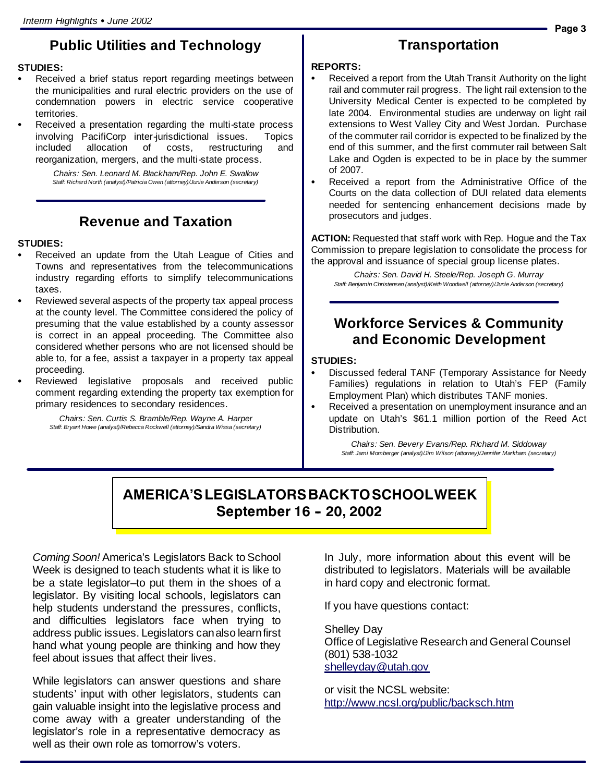## **Public Utilities and Technology**

#### **STUDIES:**

- Received a brief status report regarding meetings between the municipalities and rural electric providers on the use of condemnation powers in electric service cooperative territories.
- Received a presentation regarding the multi-state process involving PacifiCorp inter-jurisdictional issues. Topics included allocation of costs, restructuring and reorganization, mergers, and the multi-state process.

*Chairs: Sen. Leonard M. Blackham/Rep. John E. Swallow Staff: Richard North (analyst)/Patricia Owen (attorney)/Junie Anderson (secretary)*

## **Revenue and Taxation**

#### **STUDIES:**

- Received an update from the Utah League of Cities and Towns and representatives from the telecommunications industry regarding efforts to simplify telecommunications taxes.
- Reviewed several aspects of the property tax appeal process at the county level. The Committee considered the policy of presuming that the value established by a county assessor is correct in an appeal proceeding. The Committee also considered whether persons who are not licensed should be able to, for a fee, assist a taxpayer in a property tax appeal proceeding.
- Reviewed legislative proposals and received public comment regarding extending the property tax exemption for primary residences to secondary residences.

*Chairs: Sen. Curtis S. Bramble/Rep. Wayne A. Harper Staff: Bryant Howe (analyst)/Rebecca Rockwell (attorney)/Sandra Wissa (secretary)*

## **Transportation**

#### **REPORTS:**

- Received a report from the Utah Transit Authority on the light rail and commuter rail progress. The light rail extension to the University Medical Center is expected to be completed by late 2004. Environmental studies are underway on light rail extensions to West Valley City and West Jordan. Purchase of the commuter rail corridor is expected to be finalized by the end of this summer, and the first commuter rail between Salt Lake and Ogden is expected to be in place by the summer of 2007.
- Received a report from the Administrative Office of the Courts on the data collection of DUI related data elements needed for sentencing enhancement decisions made by prosecutors and judges.

**ACTION:** Requested that staff work with Rep. Hogue and the Tax Commission to prepare legislation to consolidate the process for the approval and issuance of special group license plates.

*Chairs: Sen. David H. Steele/Rep. Joseph G. Murray Staff: Benjamin Christensen (analyst)/Keith Woodwell (attorney)/Junie Anderson (secretary)*

## **Workforce Services & Community and Economic Development**

#### **STUDIES:**

- Discussed federal TANF (Temporary Assistance for Needy Families) regulations in relation to Utah's FEP (Family Employment Plan) which distributes TANF monies.
- Received a presentation on unemployment insurance and an update on Utah's \$61.1 million portion of the Reed Act Distribution.

*Chairs: Sen. Bevery Evans/Rep. Richard M. Siddoway Staff: Jami Momberger (analyst)/Jim Wilson (attorney)/Jennifer Markham (secretary)*

## **AMERICA'SLEGISLATORSBACKTOSCHOOLWEEK September 16 - 20, 2002**

*Coming Soon!* America's Legislators Back to School Week is designed to teach students what it is like to be a state legislator–to put them in the shoes of a legislator. By visiting local schools, legislators can help students understand the pressures, conflicts, and difficulties legislators face when trying to address public issues. Legislators canalso learnfirst hand what young people are thinking and how they feel about issues that affect their lives.

While legislators can answer questions and share students' input with other legislators, students can gain valuable insight into the legislative process and come away with a greater understanding of the legislator's role in a representative democracy as well as their own role as tomorrow's voters.

In July, more information about this event will be distributed to legislators. Materials will be available in hard copy and electronic format.

If you have questions contact:

Shelley Day Office of Legislative Research and General Counsel (801) 538-1032 shelleyday@utah.gov

or visit the NCSL website: http://www.ncsl.org/public/backsch.htm